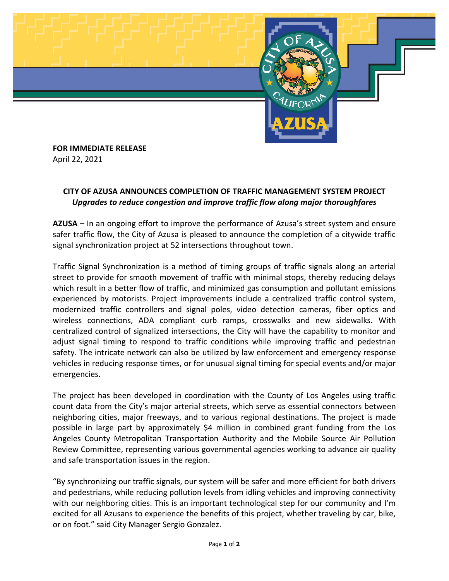

**FOR IMMEDIATE RELEASE** April 22, 2021

## **CITY OF AZUSA ANNOUNCES COMPLETION OF TRAFFIC MANAGEMENT SYSTEM PROJECT** *Upgrades to reduce congestion and improve traffic flow along major thoroughfares*

**AZUSA –** In an ongoing effort to improve the performance of Azusa's street system and ensure safer traffic flow, the City of Azusa is pleased to announce the completion of a citywide traffic signal synchronization project at 52 intersections throughout town.

Traffic Signal Synchronization is a method of timing groups of traffic signals along an arterial street to provide for smooth movement of traffic with minimal stops, thereby reducing delays which result in a better flow of traffic, and minimized gas consumption and pollutant emissions experienced by motorists. Project improvements include a centralized traffic control system, modernized traffic controllers and signal poles, video detection cameras, fiber optics and wireless connections, ADA compliant curb ramps, crosswalks and new sidewalks. With centralized control of signalized intersections, the City will have the capability to monitor and adjust signal timing to respond to traffic conditions while improving traffic and pedestrian safety. The intricate network can also be utilized by law enforcement and emergency response vehicles in reducing response times, or for unusual signal timing for special events and/or major emergencies.

The project has been developed in coordination with the County of Los Angeles using traffic count data from the City's major arterial streets, which serve as essential connectors between neighboring cities, major freeways, and to various regional destinations. The project is made possible in large part by approximately \$4 million in combined grant funding from the Los Angeles County Metropolitan Transportation Authority and the Mobile Source Air Pollution Review Committee, representing various governmental agencies working to advance air quality and safe transportation issues in the region.

"By synchronizing our traffic signals, our system will be safer and more efficient for both drivers and pedestrians, while reducing pollution levels from idling vehicles and improving connectivity with our neighboring cities. This is an important technological step for our community and I'm excited for all Azusans to experience the benefits of this project, whether traveling by car, bike, or on foot." said City Manager Sergio Gonzalez.